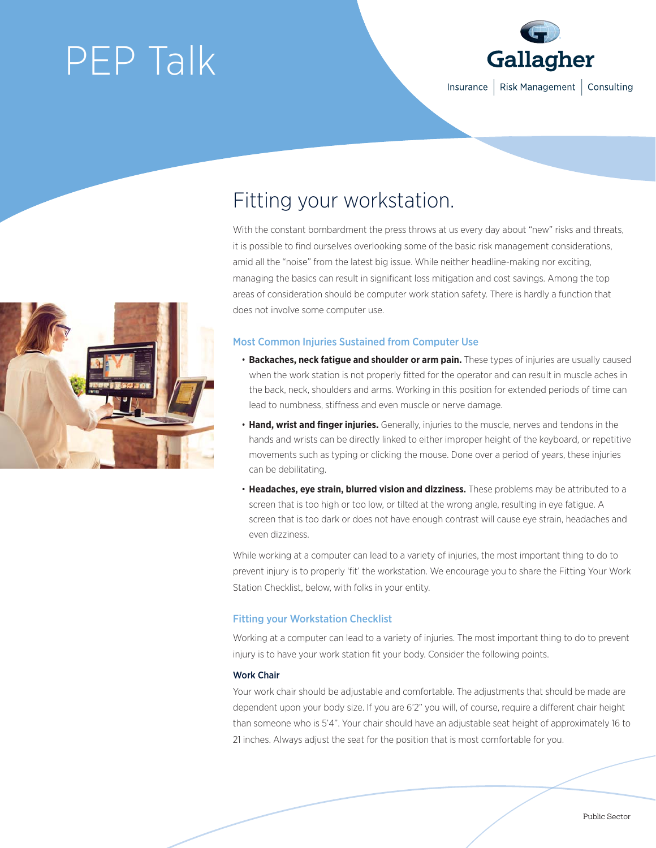# PEP Talk



## Fitting your workstation.

With the constant bombardment the press throws at us every day about "new" risks and threats, it is possible to find ourselves overlooking some of the basic risk management considerations, amid all the "noise" from the latest big issue. While neither headline-making nor exciting, managing the basics can result in significant loss mitigation and cost savings. Among the top areas of consideration should be computer work station safety. There is hardly a function that does not involve some computer use.

### Most Common Injuries Sustained from Computer Use

- **Backaches, neck fatigue and shoulder or arm pain.** These types of injuries are usually caused when the work station is not properly fitted for the operator and can result in muscle aches in the back, neck, shoulders and arms. Working in this position for extended periods of time can lead to numbness, stiffness and even muscle or nerve damage.
- **Hand, wrist and finger injuries.** Generally, injuries to the muscle, nerves and tendons in the hands and wrists can be directly linked to either improper height of the keyboard, or repetitive movements such as typing or clicking the mouse. Done over a period of years, these injuries can be debilitating.
- **Headaches, eye strain, blurred vision and dizziness.** These problems may be attributed to a screen that is too high or too low, or tilted at the wrong angle, resulting in eye fatigue. A screen that is too dark or does not have enough contrast will cause eye strain, headaches and even dizziness.

While working at a computer can lead to a variety of injuries, the most important thing to do to prevent injury is to properly 'fit' the workstation. We encourage you to share the Fitting Your Work Station Checklist, below, with folks in your entity.

### Fitting your Workstation Checklist

Working at a computer can lead to a variety of injuries. The most important thing to do to prevent injury is to have your work station fit your body. Consider the following points.

### Work Chair

Your work chair should be adjustable and comfortable. The adjustments that should be made are dependent upon your body size. If you are 6'2" you will, of course, require a different chair height than someone who is 5'4". Your chair should have an adjustable seat height of approximately 16 to 21 inches. Always adjust the seat for the position that is most comfortable for you.